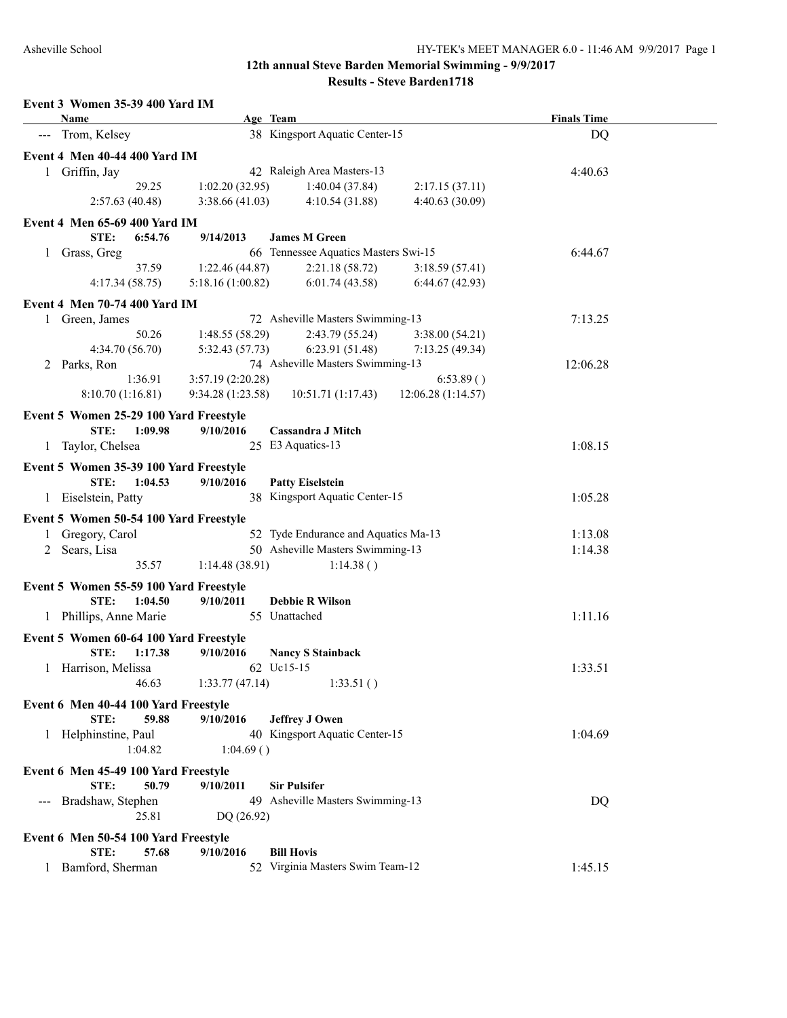|                     | Name                                                      |                  | Age Team                               |                    | <b>Finals Time</b> |  |
|---------------------|-----------------------------------------------------------|------------------|----------------------------------------|--------------------|--------------------|--|
|                     | --- Trom, Kelsey                                          |                  | 38 Kingsport Aquatic Center-15         |                    | DQ                 |  |
|                     | Event 4 Men 40-44 400 Yard IM                             |                  |                                        |                    |                    |  |
|                     | 1 Griffin, Jay                                            |                  | 42 Raleigh Area Masters-13             |                    | 4:40.63            |  |
|                     | 29.25                                                     | 1:02.20(32.95)   | 1:40.04(37.84)                         | 2:17.15(37.11)     |                    |  |
|                     | 2:57.63(40.48)                                            | 3:38.66(41.03)   | 4:10.54(31.88)                         | 4:40.63(30.09)     |                    |  |
|                     | <b>Event 4 Men 65-69 400 Yard IM</b>                      |                  |                                        |                    |                    |  |
|                     | STE:<br>6:54.76                                           | 9/14/2013        | <b>James M Green</b>                   |                    |                    |  |
|                     | 1 Grass, Greg                                             |                  | 66 Tennessee Aquatics Masters Swi-15   |                    | 6:44.67            |  |
|                     | 37.59                                                     | 1:22.46(44.87)   | 2:21.18(58.72)                         | 3:18.59(57.41)     |                    |  |
|                     | 4:17.34(58.75)                                            | 5:18.16(1:00.82) | 6:01.74(43.58)                         | 6:44.67(42.93)     |                    |  |
|                     |                                                           |                  |                                        |                    |                    |  |
|                     | <b>Event 4 Men 70-74 400 Yard IM</b>                      |                  |                                        |                    |                    |  |
|                     | 1 Green, James                                            |                  | 72 Asheville Masters Swimming-13       |                    | 7:13.25            |  |
|                     | 50.26                                                     | 1:48.55(58.29)   | 2:43.79 (55.24)                        | 3:38.00(54.21)     |                    |  |
|                     | 4:34.70 (56.70)                                           | 5:32.43 (57.73)  | 6:23.91(51.48)                         | 7:13.25(49.34)     |                    |  |
|                     | 2 Parks, Ron                                              |                  | 74 Asheville Masters Swimming-13       |                    | 12:06.28           |  |
|                     | 1:36.91                                                   | 3:57.19(2:20.28) |                                        | 6:53.89()          |                    |  |
|                     | 8:10.70 (1:16.81)                                         | 9:34.28(1:23.58) | 10:51.71 (1:17.43)                     | 12:06.28 (1:14.57) |                    |  |
|                     | Event 5 Women 25-29 100 Yard Freestyle                    |                  |                                        |                    |                    |  |
|                     | STE:<br>1:09.98                                           | 9/10/2016        | <b>Cassandra J Mitch</b>               |                    |                    |  |
|                     | 1 Taylor, Chelsea                                         |                  | 25 E3 Aquatics-13                      |                    | 1:08.15            |  |
|                     | Event 5 Women 35-39 100 Yard Freestyle                    |                  |                                        |                    |                    |  |
|                     | STE:<br>1:04.53                                           | 9/10/2016        | <b>Patty Eiselstein</b>                |                    |                    |  |
|                     | 1 Eiselstein, Patty                                       |                  | 38 Kingsport Aquatic Center-15         |                    | 1:05.28            |  |
|                     |                                                           |                  |                                        |                    |                    |  |
|                     | Event 5 Women 50-54 100 Yard Freestyle                    |                  |                                        |                    |                    |  |
|                     | 1 Gregory, Carol                                          |                  | 52 Tyde Endurance and Aquatics Ma-13   |                    | 1:13.08            |  |
|                     | 2 Sears, Lisa                                             |                  | 50 Asheville Masters Swimming-13       |                    | 1:14.38            |  |
|                     | 35.57                                                     | 1:14.48(38.91)   | 1:14.38()                              |                    |                    |  |
|                     | Event 5 Women 55-59 100 Yard Freestyle                    |                  |                                        |                    |                    |  |
|                     | STE:<br>1:04.50                                           | 9/10/2011        | <b>Debbie R Wilson</b>                 |                    |                    |  |
|                     | 1 Phillips, Anne Marie                                    |                  | 55 Unattached                          |                    | 1:11.16            |  |
|                     |                                                           |                  |                                        |                    |                    |  |
|                     | Event 5 Women 60-64 100 Yard Freestyle<br>STE:<br>1:17.38 | 9/10/2016        |                                        |                    |                    |  |
|                     | 1 Harrison, Melissa                                       |                  | <b>Nancy S Stainback</b><br>62 Uc15-15 |                    | 1:33.51            |  |
|                     | 46.63                                                     |                  | 1:33.51()                              |                    |                    |  |
|                     |                                                           | 1:33.77(47.14)   |                                        |                    |                    |  |
|                     | Event 6 Men 40-44 100 Yard Freestyle                      |                  |                                        |                    |                    |  |
|                     | STE:<br>59.88                                             | 9/10/2016        | <b>Jeffrey J Owen</b>                  |                    |                    |  |
|                     | 1 Helphinstine, Paul                                      |                  | 40 Kingsport Aquatic Center-15         |                    | 1:04.69            |  |
|                     | 1:04.82                                                   | 1:04.69()        |                                        |                    |                    |  |
|                     | Event 6 Men 45-49 100 Yard Freestyle                      |                  |                                        |                    |                    |  |
|                     | STE:<br>50.79                                             | 9/10/2011        | <b>Sir Pulsifer</b>                    |                    |                    |  |
| $\qquad \qquad - -$ | Bradshaw, Stephen                                         |                  | 49 Asheville Masters Swimming-13       |                    | DQ                 |  |
|                     | 25.81                                                     | DQ (26.92)       |                                        |                    |                    |  |
|                     |                                                           |                  |                                        |                    |                    |  |
|                     | Event 6 Men 50-54 100 Yard Freestyle                      |                  |                                        |                    |                    |  |
|                     | STE:<br>57.68                                             | 9/10/2016        | <b>Bill Hovis</b>                      |                    |                    |  |
| 1                   | Bamford, Sherman                                          |                  | 52 Virginia Masters Swim Team-12       |                    | 1:45.15            |  |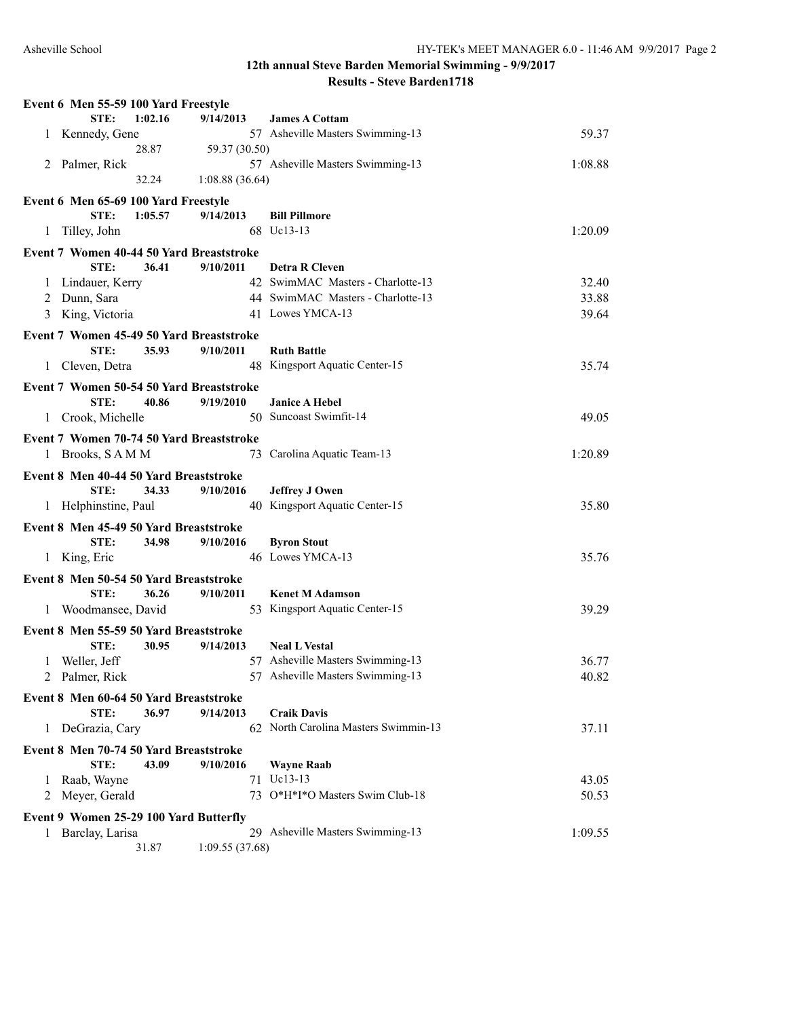|              | Event 6 Men 55-59 100 Yard Freestyle     |         |                 |                                      |         |
|--------------|------------------------------------------|---------|-----------------|--------------------------------------|---------|
|              | STE:                                     | 1:02.16 | 9/14/2013       | <b>James A Cottam</b>                |         |
| 1            | Kennedy, Gene                            |         |                 | 57 Asheville Masters Swimming-13     | 59.37   |
|              |                                          | 28.87   | 59.37 (30.50)   |                                      |         |
|              | 2 Palmer, Rick                           |         |                 | 57 Asheville Masters Swimming-13     | 1:08.88 |
|              |                                          | 32.24   | 1:08.88(36.64)  |                                      |         |
|              | Event 6 Men 65-69 100 Yard Freestyle     |         |                 |                                      |         |
|              | STE:                                     | 1:05.57 | 9/14/2013       | <b>Bill Pillmore</b>                 |         |
| 1            | Tilley, John                             |         |                 | 68 Uc13-13                           | 1:20.09 |
|              |                                          |         |                 |                                      |         |
|              | Event 7 Women 40-44 50 Yard Breaststroke |         |                 |                                      |         |
|              | STE:                                     | 36.41   | 9/10/2011       | <b>Detra R Cleven</b>                |         |
| $\mathbf{I}$ | Lindauer, Kerry                          |         |                 | 42 SwimMAC Masters - Charlotte-13    | 32.40   |
| 2            | Dunn, Sara                               |         |                 | 44 SwimMAC Masters - Charlotte-13    | 33.88   |
|              | 3 King, Victoria                         |         |                 | 41 Lowes YMCA-13                     | 39.64   |
|              | Event 7 Women 45-49 50 Yard Breaststroke |         |                 |                                      |         |
|              | STE:                                     | 35.93   | 9/10/2011       | <b>Ruth Battle</b>                   |         |
| $\mathbf{1}$ | Cleven, Detra                            |         |                 | 48 Kingsport Aquatic Center-15       | 35.74   |
|              |                                          |         |                 |                                      |         |
|              | Event 7 Women 50-54 50 Yard Breaststroke |         |                 |                                      |         |
|              | STE:                                     | 40.86   | 9/19/2010       | <b>Janice A Hebel</b>                |         |
|              | 1 Crook, Michelle                        |         |                 | 50 Suncoast Swimfit-14               | 49.05   |
|              | Event 7 Women 70-74 50 Yard Breaststroke |         |                 |                                      |         |
|              | 1 Brooks, SAMM                           |         |                 | 73 Carolina Aquatic Team-13          | 1:20.89 |
|              | Event 8 Men 40-44 50 Yard Breaststroke   |         |                 |                                      |         |
|              | STE:                                     | 34.33   | 9/10/2016       | <b>Jeffrey J Owen</b>                |         |
|              | 1 Helphinstine, Paul                     |         |                 | 40 Kingsport Aquatic Center-15       | 35.80   |
|              |                                          |         |                 |                                      |         |
|              | Event 8 Men 45-49 50 Yard Breaststroke   |         |                 |                                      |         |
|              | STE:                                     | 34.98   | 9/10/2016       | <b>Byron Stout</b>                   |         |
|              | 1 King, Eric                             |         |                 | 46 Lowes YMCA-13                     | 35.76   |
|              | Event 8 Men 50-54 50 Yard Breaststroke   |         |                 |                                      |         |
|              | STE:                                     | 36.26   | 9/10/2011       | <b>Kenet M Adamson</b>               |         |
|              | 1 Woodmansee, David                      |         |                 | 53 Kingsport Aquatic Center-15       | 39.29   |
|              |                                          |         |                 |                                      |         |
|              | Event 8 Men 55-59 50 Yard Breaststroke   |         |                 |                                      |         |
|              | STE:                                     | 30.95   | 9/14/2013       | <b>Neal L Vestal</b>                 |         |
|              | 1 Weller, Jeff                           |         |                 | 57 Asheville Masters Swimming-13     | 36.77   |
|              | 2 Palmer, Rick                           |         |                 | 57 Asheville Masters Swimming-13     | 40.82   |
|              | Event 8 Men 60-64 50 Yard Breaststroke   |         |                 |                                      |         |
|              | STE:                                     | 36.97   | 9/14/2013       | <b>Craik Davis</b>                   |         |
| 1            | DeGrazia, Cary                           |         |                 | 62 North Carolina Masters Swimmin-13 | 37.11   |
|              | Event 8 Men 70-74 50 Yard Breaststroke   |         |                 |                                      |         |
|              | STE:                                     | 43.09   | 9/10/2016       | <b>Wayne Raab</b>                    |         |
|              | 1 Raab, Wayne                            |         |                 | 71 Uc13-13                           | 43.05   |
|              | 2 Meyer, Gerald                          |         |                 | 73 O*H*I*O Masters Swim Club-18      | 50.53   |
|              |                                          |         |                 |                                      |         |
|              | Event 9 Women 25-29 100 Yard Butterfly   |         |                 |                                      |         |
| 1            | Barclay, Larisa                          |         |                 | 29 Asheville Masters Swimming-13     | 1:09.55 |
|              |                                          | 31.87   | 1:09.55 (37.68) |                                      |         |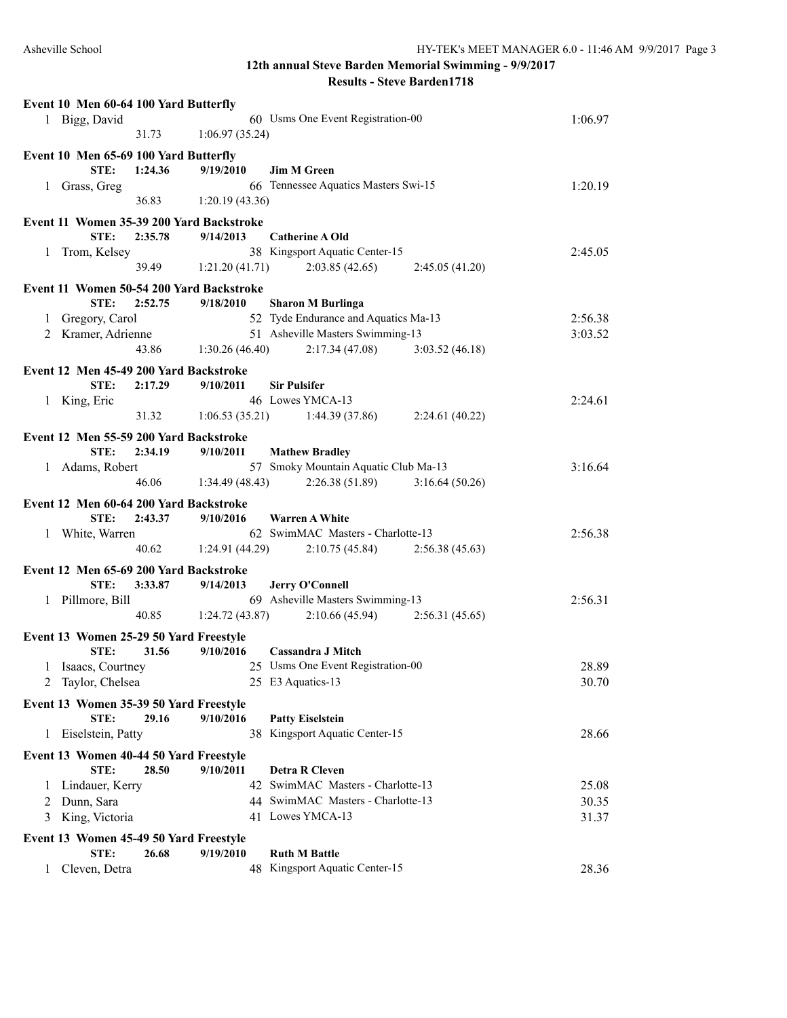|   | Event 10 Men 60-64 100 Yard Butterfly            |         |                 |                                      |         |
|---|--------------------------------------------------|---------|-----------------|--------------------------------------|---------|
|   | 1 Bigg, David                                    |         |                 | 60 Usms One Event Registration-00    | 1:06.97 |
|   |                                                  | 31.73   | 1:06.97(35.24)  |                                      |         |
|   | Event 10 Men 65-69 100 Yard Butterfly            |         |                 |                                      |         |
|   | STE:                                             | 1:24.36 | 9/19/2010       | <b>Jim M Green</b>                   |         |
|   | 1 Grass, Greg                                    |         |                 | 66 Tennessee Aquatics Masters Swi-15 | 1:20.19 |
|   |                                                  | 36.83   | 1:20.19(43.36)  |                                      |         |
|   |                                                  |         |                 |                                      |         |
|   | Event 11 Women 35-39 200 Yard Backstroke<br>STE: | 2:35.78 | 9/14/2013       | <b>Catherine A Old</b>               |         |
|   | Trom, Kelsey                                     |         |                 | 38 Kingsport Aquatic Center-15       | 2:45.05 |
| 1 |                                                  | 39.49   | 1:21.20(41.71)  | 2:03.85(42.65)<br>2:45.05(41.20)     |         |
|   |                                                  |         |                 |                                      |         |
|   | Event 11 Women 50-54 200 Yard Backstroke         |         |                 |                                      |         |
|   | STE:                                             | 2:52.75 | 9/18/2010       | <b>Sharon M Burlinga</b>             |         |
| 1 | Gregory, Carol                                   |         |                 | 52 Tyde Endurance and Aquatics Ma-13 | 2:56.38 |
|   | 2 Kramer, Adrienne                               |         |                 | 51 Asheville Masters Swimming-13     | 3:03.52 |
|   |                                                  | 43.86   | 1:30.26(46.40)  | 2:17.34(47.08)<br>3:03.52(46.18)     |         |
|   | Event 12 Men 45-49 200 Yard Backstroke           |         |                 |                                      |         |
|   | STE:                                             | 2:17.29 | 9/10/2011       | <b>Sir Pulsifer</b>                  |         |
|   | 1 King, Eric                                     |         |                 | 46 Lowes YMCA-13                     | 2:24.61 |
|   |                                                  | 31.32   | 1:06.53(35.21)  | 1:44.39 (37.86)<br>2:24.61(40.22)    |         |
|   | Event 12 Men 55-59 200 Yard Backstroke           |         |                 |                                      |         |
|   | STE:                                             | 2:34.19 | 9/10/2011       | <b>Mathew Bradley</b>                |         |
| 1 | Adams, Robert                                    |         |                 | 57 Smoky Mountain Aquatic Club Ma-13 | 3:16.64 |
|   |                                                  | 46.06   | 1:34.49(48.43)  | 2:26.38(51.89)<br>3:16.64(50.26)     |         |
|   |                                                  |         |                 |                                      |         |
|   | Event 12 Men 60-64 200 Yard Backstroke           |         |                 |                                      |         |
|   | STE:                                             | 2:43.37 | 9/10/2016       | <b>Warren A White</b>                |         |
| 1 | White, Warren                                    |         |                 | 62 SwimMAC Masters - Charlotte-13    | 2:56.38 |
|   |                                                  | 40.62   | 1:24.91 (44.29) | 2:10.75(45.84)<br>2:56.38(45.63)     |         |
|   | Event 12 Men 65-69 200 Yard Backstroke           |         |                 |                                      |         |
|   | STE:                                             | 3:33.87 | 9/14/2013       | <b>Jerry O'Connell</b>               |         |
|   | 1 Pillmore, Bill                                 |         |                 | 69 Asheville Masters Swimming-13     | 2:56.31 |
|   |                                                  | 40.85   | 1:24.72(43.87)  | 2:10.66(45.94)<br>2:56.31(45.65)     |         |
|   | Event 13 Women 25-29 50 Yard Freestyle           |         |                 |                                      |         |
|   | STE:                                             | 31.56   | 9/10/2016       | Cassandra J Mitch                    |         |
|   | 1 Isaacs, Courtney                               |         |                 | 25 Usms One Event Registration-00    | 28.89   |
| 2 | Taylor, Chelsea                                  |         |                 | 25 E3 Aquatics-13                    | 30.70   |
|   |                                                  |         |                 |                                      |         |
|   | Event 13 Women 35-39 50 Yard Freestyle           |         |                 |                                      |         |
|   | STE:                                             | 29.16   | 9/10/2016       | <b>Patty Eiselstein</b>              |         |
| 1 | Eiselstein, Patty                                |         | 38              | Kingsport Aquatic Center-15          | 28.66   |
|   | Event 13 Women 40-44 50 Yard Freestyle           |         |                 |                                      |         |
|   | STE:                                             | 28.50   | 9/10/2011       | <b>Detra R Cleven</b>                |         |
| 1 | Lindauer, Kerry                                  |         |                 | 42 SwimMAC Masters - Charlotte-13    | 25.08   |
| 2 | Dunn, Sara                                       |         |                 | 44 SwimMAC Masters - Charlotte-13    | 30.35   |
| 3 | King, Victoria                                   |         |                 | 41 Lowes YMCA-13                     | 31.37   |
|   |                                                  |         |                 |                                      |         |
|   | Event 13 Women 45-49 50 Yard Freestyle           |         |                 |                                      |         |
|   | STE:                                             | 26.68   | 9/19/2010       | <b>Ruth M Battle</b>                 |         |
| 1 | Cleven, Detra                                    |         |                 | 48 Kingsport Aquatic Center-15       | 28.36   |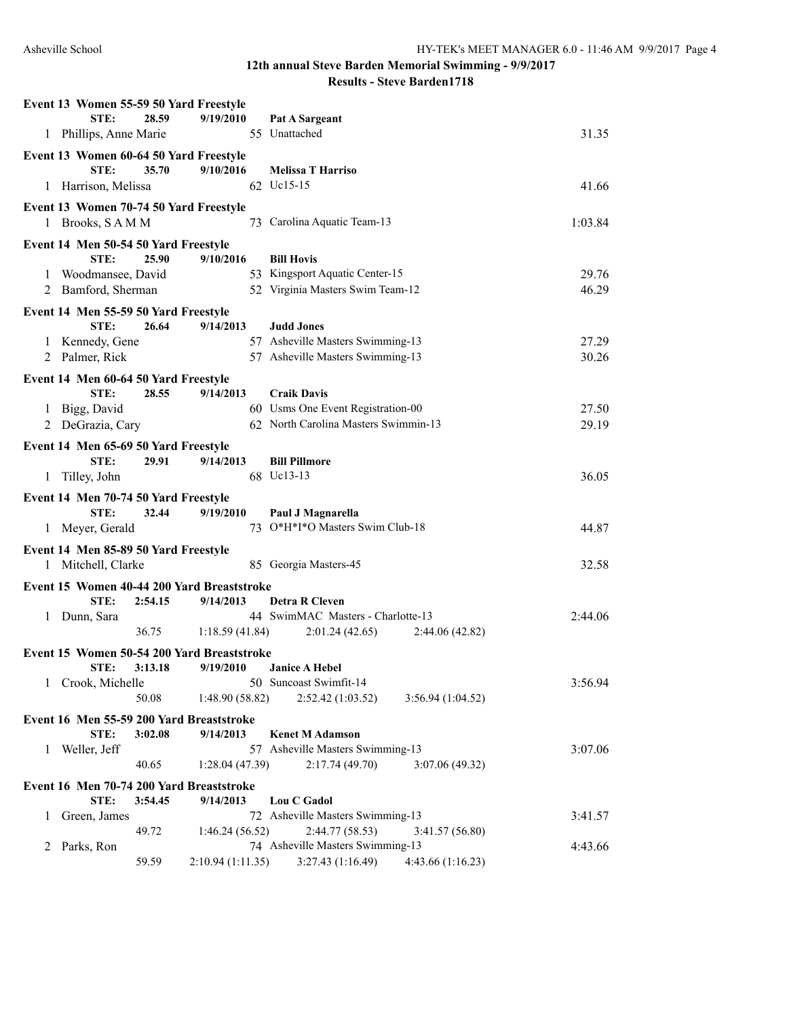| Event 13 Women 55-59 50 Yard Freestyle                     |         |                |                                       |         |
|------------------------------------------------------------|---------|----------------|---------------------------------------|---------|
| STE:                                                       | 28.59   | 9/19/2010      | Pat A Sargeant                        |         |
| 1 Phillips, Anne Marie                                     |         |                | 55 Unattached                         | 31.35   |
| Event 13 Women 60-64 50 Yard Freestyle                     |         |                |                                       |         |
| STE:                                                       | 35.70   | 9/10/2016      | <b>Melissa T Harriso</b>              |         |
| 1 Harrison, Melissa                                        |         |                | 62 Uc15-15                            | 41.66   |
| Event 13 Women 70-74 50 Yard Freestyle                     |         |                |                                       |         |
| 1 Brooks, SAMM                                             |         |                | 73 Carolina Aquatic Team-13           | 1:03.84 |
|                                                            |         |                |                                       |         |
| Event 14 Men 50-54 50 Yard Freestyle<br>STE:               | 25.90   | 9/10/2016      | <b>Bill Hovis</b>                     |         |
| Woodmansee, David<br>1                                     |         |                | 53 Kingsport Aquatic Center-15        | 29.76   |
| Bamford, Sherman<br>2                                      |         |                | 52 Virginia Masters Swim Team-12      | 46.29   |
|                                                            |         |                |                                       |         |
| Event 14 Men 55-59 50 Yard Freestyle                       |         |                |                                       |         |
| STE:                                                       | 26.64   | 9/14/2013      | <b>Judd Jones</b>                     |         |
| 1 Kennedy, Gene                                            |         |                | 57 Asheville Masters Swimming-13      | 27.29   |
| 2 Palmer, Rick                                             |         |                | 57 Asheville Masters Swimming-13      | 30.26   |
| Event 14 Men 60-64 50 Yard Freestyle                       |         |                |                                       |         |
| STE:                                                       | 28.55   | 9/14/2013      | <b>Craik Davis</b>                    |         |
| 1 Bigg, David                                              |         |                | 60 Usms One Event Registration-00     | 27.50   |
| 2 DeGrazia, Cary                                           |         |                | 62 North Carolina Masters Swimmin-13  | 29.19   |
| Event 14 Men 65-69 50 Yard Freestyle                       |         |                |                                       |         |
| STE:                                                       | 29.91   | 9/14/2013      | <b>Bill Pillmore</b>                  |         |
| 1 Tilley, John                                             |         |                | 68 Uc13-13                            | 36.05   |
| Event 14 Men 70-74 50 Yard Freestyle                       |         |                |                                       |         |
| STE:                                                       | 32.44   | 9/19/2010      | Paul J Magnarella                     |         |
| Meyer, Gerald<br>1                                         |         |                | 73 O*H*I*O Masters Swim Club-18       | 44.87   |
|                                                            |         |                |                                       |         |
| Event 14 Men 85-89 50 Yard Freestyle<br>1 Mitchell, Clarke |         |                | 85 Georgia Masters-45                 | 32.58   |
|                                                            |         |                |                                       |         |
| Event 15 Women 40-44 200 Yard Breaststroke                 |         |                |                                       |         |
| STE:                                                       | 2:54.15 | 9/14/2013      | <b>Detra R Cleven</b>                 |         |
| Dunn, Sara<br>$\mathbf{1}$                                 |         |                | 44 SwimMAC Masters - Charlotte-13     | 2:44.06 |
|                                                            | 36.75   | 1:18.59(41.84) | 2:01.24(42.65)<br>2:44.06(42.82)      |         |
| Event 15 Women 50-54 200 Yard Breaststroke                 |         |                |                                       |         |
| STE:                                                       |         |                |                                       |         |
| Crook, Michelle<br>1                                       | 3:13.18 | 9/19/2010      | <b>Janice A Hebel</b>                 |         |
|                                                            |         |                | 50 Suncoast Swimfit-14                | 3:56.94 |
|                                                            | 50.08   | 1:48.90(58.82) | 2:52.42 (1:03.52)<br>3:56.94(1:04.52) |         |
| Event 16 Men 55-59 200 Yard Breaststroke                   |         |                |                                       |         |
| STE:                                                       | 3:02.08 | 9/14/2013      | <b>Kenet M Adamson</b>                |         |
| Weller, Jeff<br>1                                          |         |                | 57 Asheville Masters Swimming-13      | 3:07.06 |
|                                                            | 40.65   | 1:28.04(47.39) | 2:17.74(49.70)<br>3:07.06 (49.32)     |         |
|                                                            |         |                |                                       |         |
| Event 16 Men 70-74 200 Yard Breaststroke<br>STE:           | 3:54.45 | 9/14/2013      | Lou C Gadol                           |         |
| Green, James<br>1                                          |         |                | 72 Asheville Masters Swimming-13      | 3:41.57 |
|                                                            | 49.72   | 1:46.24(56.52) | 2:44.77 (58.53)<br>3:41.57(56.80)     |         |
| Parks, Ron<br>2                                            |         |                | 74 Asheville Masters Swimming-13      | 4:43.66 |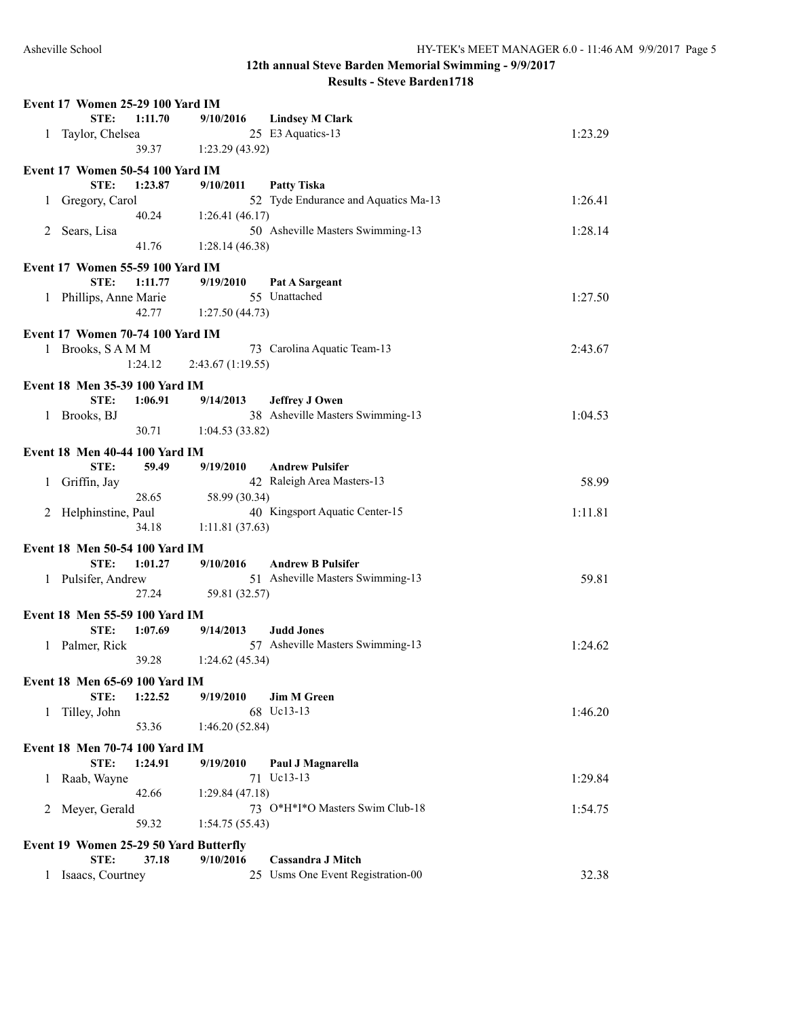|   | Event 17 Women 25-29 100 Yard IM        |         |                  |                                      |         |
|---|-----------------------------------------|---------|------------------|--------------------------------------|---------|
|   | STE:                                    | 1:11.70 | 9/10/2016        | <b>Lindsey M Clark</b>               |         |
| 1 | Taylor, Chelsea                         |         |                  | 25 E3 Aquatics-13                    | 1:23.29 |
|   |                                         | 39.37   | 1:23.29(43.92)   |                                      |         |
|   | Event 17 Women 50-54 100 Yard IM        |         |                  |                                      |         |
|   | STE:                                    | 1:23.87 | 9/10/2011        | <b>Patty Tiska</b>                   |         |
| 1 | Gregory, Carol                          |         |                  | 52 Tyde Endurance and Aquatics Ma-13 | 1:26.41 |
|   |                                         | 40.24   | 1:26.41(46.17)   |                                      |         |
| 2 | Sears, Lisa                             |         |                  | 50 Asheville Masters Swimming-13     | 1:28.14 |
|   |                                         | 41.76   | 1:28.14(46.38)   |                                      |         |
|   | <b>Event 17 Women 55-59 100 Yard IM</b> |         |                  |                                      |         |
|   | STE:                                    | 1:11.77 | 9/19/2010        | Pat A Sargeant                       |         |
|   | 1 Phillips, Anne Marie                  |         |                  | 55 Unattached                        | 1:27.50 |
|   |                                         | 42.77   | 1:27.50(44.73)   |                                      |         |
|   | Event 17 Women 70-74 100 Yard IM        |         |                  |                                      |         |
|   | 1 Brooks, SAMM                          |         |                  | 73 Carolina Aquatic Team-13          | 2:43.67 |
|   |                                         | 1:24.12 | 2:43.67(1:19.55) |                                      |         |
|   | Event 18 Men 35-39 100 Yard IM          |         |                  |                                      |         |
|   | STE:                                    | 1:06.91 | 9/14/2013        | <b>Jeffrey J Owen</b>                |         |
| 1 | Brooks, BJ                              |         |                  | 38 Asheville Masters Swimming-13     | 1:04.53 |
|   |                                         | 30.71   | 1:04.53(33.82)   |                                      |         |
|   | <b>Event 18 Men 40-44 100 Yard IM</b>   |         |                  |                                      |         |
|   | STE:                                    | 59.49   | 9/19/2010        | <b>Andrew Pulsifer</b>               |         |
| 1 | Griffin, Jay                            |         |                  | 42 Raleigh Area Masters-13           | 58.99   |
|   |                                         | 28.65   | 58.99 (30.34)    |                                      |         |
|   | 2 Helphinstine, Paul                    |         |                  | 40 Kingsport Aquatic Center-15       | 1:11.81 |
|   |                                         | 34.18   | 1:11.81(37.63)   |                                      |         |
|   | Event 18 Men 50-54 100 Yard IM          |         |                  |                                      |         |
|   | STE:                                    | 1:01.27 | 9/10/2016        | <b>Andrew B Pulsifer</b>             |         |
|   | 1 Pulsifer, Andrew                      |         |                  | 51 Asheville Masters Swimming-13     | 59.81   |
|   |                                         | 27.24   | 59.81 (32.57)    |                                      |         |
|   | Event 18 Men 55-59 100 Yard IM          |         |                  |                                      |         |
|   | STE:                                    | 1:07.69 | 9/14/2013        | <b>Judd Jones</b>                    |         |
| 1 | Palmer, Rick                            |         |                  | 57 Asheville Masters Swimming-13     | 1:24.62 |
|   |                                         | 39.28   | 1:24.62(45.34)   |                                      |         |
|   | Event 18 Men 65-69 100 Yard IM          |         |                  |                                      |         |
|   | STE:                                    | 1:22.52 | 9/19/2010        | <b>Jim M Green</b>                   |         |
| 1 | Tilley, John                            |         |                  | 68 Uc13-13                           | 1:46.20 |
|   |                                         | 53.36   | 1:46.20(52.84)   |                                      |         |
|   | Event 18 Men 70-74 100 Yard IM          |         |                  |                                      |         |
|   | STE:                                    | 1:24.91 | 9/19/2010        | Paul J Magnarella                    |         |
| 1 | Raab, Wayne                             |         |                  | 71 Uc13-13                           | 1:29.84 |
|   |                                         | 42.66   | 1:29.84(47.18)   |                                      |         |
| 2 | Meyer, Gerald                           |         |                  | 73 O*H*I*O Masters Swim Club-18      | 1:54.75 |
|   |                                         | 59.32   | 1:54.75(55.43)   |                                      |         |
|   | Event 19 Women 25-29 50 Yard Butterfly  |         |                  |                                      |         |
|   | STE:                                    | 37.18   | 9/10/2016        | <b>Cassandra J Mitch</b>             |         |
| 1 | Isaacs, Courtney                        |         |                  | 25 Usms One Event Registration-00    | 32.38   |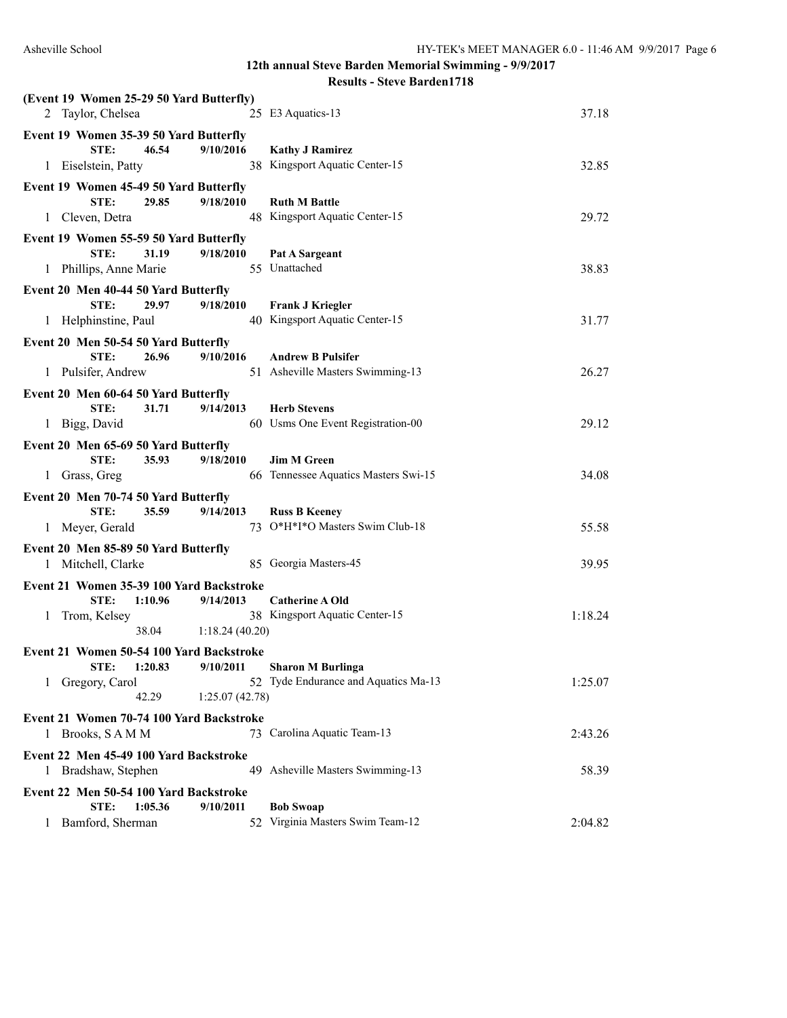| (Event 19 Women 25-29 50 Yard Butterfly)<br>2 Taylor, Chelsea      |                       | 25 E3 Aquatics-13                    | 37.18   |
|--------------------------------------------------------------------|-----------------------|--------------------------------------|---------|
| Event 19 Women 35-39 50 Yard Butterfly<br>46.54<br>STE:            | 9/10/2016             | <b>Kathy J Ramirez</b>               |         |
| 1 Eiselstein, Patty                                                |                       | 38 Kingsport Aquatic Center-15       | 32.85   |
| Event 19 Women 45-49 50 Yard Butterfly                             |                       |                                      |         |
| STE:<br>29.85                                                      | 9/18/2010             | <b>Ruth M Battle</b>                 |         |
| 1 Cleven, Detra                                                    |                       | 48 Kingsport Aquatic Center-15       | 29.72   |
| Event 19 Women 55-59 50 Yard Butterfly                             |                       |                                      |         |
| 31.19<br>STE:                                                      | 9/18/2010             | Pat A Sargeant                       |         |
| 1 Phillips, Anne Marie                                             |                       | 55 Unattached                        | 38.83   |
| Event 20 Men 40-44 50 Yard Butterfly                               |                       |                                      |         |
| 29.97<br>STE:                                                      | 9/18/2010             | <b>Frank J Kriegler</b>              |         |
| 1 Helphinstine, Paul                                               |                       | 40 Kingsport Aquatic Center-15       | 31.77   |
| Event 20 Men 50-54 50 Yard Butterfly                               |                       |                                      |         |
| STE:<br>26.96                                                      | 9/10/2016             | <b>Andrew B Pulsifer</b>             |         |
| 1 Pulsifer, Andrew                                                 |                       | 51 Asheville Masters Swimming-13     | 26.27   |
| Event 20 Men 60-64 50 Yard Butterfly                               |                       |                                      |         |
| STE:<br>31.71                                                      | 9/14/2013             | <b>Herb Stevens</b>                  |         |
| 1 Bigg, David                                                      |                       | 60 Usms One Event Registration-00    | 29.12   |
| Event 20 Men 65-69 50 Yard Butterfly                               |                       |                                      |         |
| 35.93<br>STE:                                                      | 9/18/2010             | <b>Jim M Green</b>                   |         |
| 1 Grass, Greg                                                      |                       | 66 Tennessee Aquatics Masters Swi-15 | 34.08   |
| Event 20 Men 70-74 50 Yard Butterfly                               |                       |                                      |         |
| STE:<br>35.59                                                      | 9/14/2013             | <b>Russ B Keeney</b>                 |         |
| 1 Meyer, Gerald                                                    |                       | 73 O*H*I*O Masters Swim Club-18      | 55.58   |
| Event 20 Men 85-89 50 Yard Butterfly                               |                       |                                      |         |
| 1 Mitchell, Clarke                                                 |                       | 85 Georgia Masters-45                | 39.95   |
|                                                                    |                       |                                      |         |
| Event 21 Women 35-39 100 Yard Backstroke<br>STE:<br>1:10.96        | 9/14/2013             | <b>Catherine A Old</b>               |         |
| Trom, Kelsey<br>1                                                  |                       | 38 Kingsport Aquatic Center-15       | 1:18.24 |
|                                                                    | 38.04 1:18.24 (40.20) |                                      |         |
|                                                                    |                       |                                      |         |
| Event 21 Women 50-54 100 Yard Backstroke<br>STE: 1:20.83 9/10/2011 |                       | <b>Sharon M Burlinga</b>             |         |
| 1 Gregory, Carol                                                   |                       | 52 Tyde Endurance and Aquatics Ma-13 | 1:25.07 |
| 42.29                                                              | 1:25.07(42.78)        |                                      |         |
| Event 21 Women 70-74 100 Yard Backstroke                           |                       |                                      |         |
| Brooks, SAMM<br>1                                                  |                       | 73 Carolina Aquatic Team-13          | 2:43.26 |
|                                                                    |                       |                                      |         |
| Event 22 Men 45-49 100 Yard Backstroke                             |                       |                                      |         |
| 1 Bradshaw, Stephen                                                |                       | 49 Asheville Masters Swimming-13     | 58.39   |
| Event 22 Men 50-54 100 Yard Backstroke                             |                       |                                      |         |
| 1:05.36<br>STE:                                                    | 9/10/2011             | <b>Bob Swoap</b>                     |         |
| Bamford, Sherman<br>1                                              |                       | 52 Virginia Masters Swim Team-12     | 2:04.82 |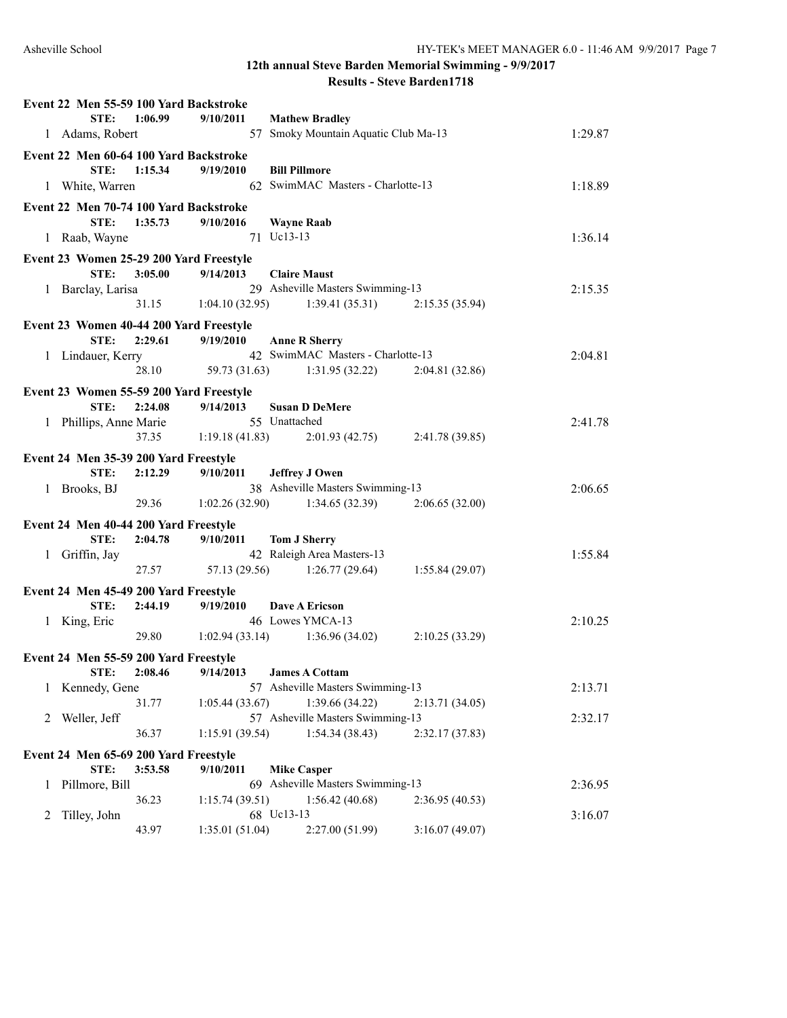|   | Event 22 Men 55-59 100 Yard Backstroke  |         |                       |                                           |                 |         |
|---|-----------------------------------------|---------|-----------------------|-------------------------------------------|-----------------|---------|
|   | STE:                                    | 1:06.99 | 9/10/2011             | <b>Mathew Bradley</b>                     |                 |         |
|   | 1 Adams, Robert                         |         |                       | 57 Smoky Mountain Aquatic Club Ma-13      |                 | 1:29.87 |
|   | Event 22 Men 60-64 100 Yard Backstroke  |         |                       |                                           |                 |         |
|   | STE:                                    | 1:15.34 | 9/19/2010             | <b>Bill Pillmore</b>                      |                 |         |
|   | 1 White, Warren                         |         |                       | 62 SwimMAC Masters - Charlotte-13         |                 | 1:18.89 |
|   | Event 22 Men 70-74 100 Yard Backstroke  |         |                       |                                           |                 |         |
|   | STE:                                    | 1:35.73 | 9/10/2016             | <b>Wayne Raab</b>                         |                 |         |
|   | 1 Raab, Wayne                           |         |                       | 71 Uc13-13                                |                 | 1:36.14 |
|   | Event 23 Women 25-29 200 Yard Freestyle |         |                       |                                           |                 |         |
|   | STE:                                    | 3:05.00 | 9/14/2013             | <b>Claire Maust</b>                       |                 |         |
|   | 1 Barclay, Larisa                       |         |                       | 29 Asheville Masters Swimming-13          |                 | 2:15.35 |
|   |                                         |         |                       | $31.15$ $1:04.10(32.95)$ $1:39.41(35.31)$ | 2:15.35(35.94)  |         |
|   | Event 23 Women 40-44 200 Yard Freestyle |         |                       |                                           |                 |         |
|   | STE:                                    | 2:29.61 | 9/19/2010             | <b>Anne R Sherry</b>                      |                 |         |
|   | 1 Lindauer, Kerry                       |         |                       | 42 SwimMAC Masters - Charlotte-13         |                 | 2:04.81 |
|   |                                         |         |                       | 28.10 59.73 (31.63) 1:31.95 (32.22)       | 2:04.81(32.86)  |         |
|   | Event 23 Women 55-59 200 Yard Freestyle |         |                       |                                           |                 |         |
|   | STE:                                    | 2:24.08 | 9/14/2013             | <b>Susan D DeMere</b>                     |                 |         |
|   | 1 Phillips, Anne Marie                  |         |                       | 55 Unattached                             |                 | 2:41.78 |
|   |                                         |         |                       | 37.35 1:19.18 (41.83) 2:01.93 (42.75)     | 2:41.78 (39.85) |         |
|   | Event 24 Men 35-39 200 Yard Freestyle   |         |                       |                                           |                 |         |
|   | STE:                                    | 2:12.29 | 9/10/2011             | <b>Jeffrey J Owen</b>                     |                 |         |
|   | 1 Brooks, BJ                            |         |                       | 38 Asheville Masters Swimming-13          |                 | 2:06.65 |
|   |                                         |         |                       | 29.36 1:02.26 (32.90) 1:34.65 (32.39)     | 2:06.65(32.00)  |         |
|   | Event 24 Men 40-44 200 Yard Freestyle   |         |                       |                                           |                 |         |
|   | STE:                                    | 2:04.78 | 9/10/2011             | <b>Tom J Sherry</b>                       |                 |         |
|   | 1 Griffin, Jay                          |         |                       | 42 Raleigh Area Masters-13                |                 | 1:55.84 |
|   |                                         |         |                       | 27.57 57.13 (29.56) 1:26.77 (29.64)       | 1:55.84(29.07)  |         |
|   | Event 24 Men 45-49 200 Yard Freestyle   |         |                       |                                           |                 |         |
|   | STE:                                    | 2:44.19 | 9/19/2010             | Dave A Ericson                            |                 |         |
|   | 1 King, Eric                            |         |                       | 46 Lowes YMCA-13                          |                 | 2:10.25 |
|   |                                         |         | 29.80 1:02.94 (33.14) | 1:36.96(34.02)                            | 2:10.25(33.29)  |         |
|   | Event 24 Men 55-59 200 Yard Freestyle   |         |                       |                                           |                 |         |
|   | STE:                                    | 2:08.46 | 9/14/2013             | <b>James A Cottam</b>                     |                 |         |
| 1 | Kennedy, Gene                           |         |                       | 57 Asheville Masters Swimming-13          |                 | 2:13.71 |
|   |                                         | 31.77   | 1:05.44(33.67)        | 1:39.66 (34.22)                           | 2:13.71(34.05)  |         |
| 2 | Weller, Jeff                            |         |                       | 57 Asheville Masters Swimming-13          |                 | 2:32.17 |
|   |                                         | 36.37   | 1:15.91(39.54)        | 1:54.34(38.43)                            | 2:32.17(37.83)  |         |
|   | Event 24 Men 65-69 200 Yard Freestyle   |         |                       |                                           |                 |         |
|   | STE:                                    | 3:53.58 | 9/10/2011             | <b>Mike Casper</b>                        |                 |         |
| 1 | Pillmore, Bill                          |         |                       | 69 Asheville Masters Swimming-13          |                 | 2:36.95 |
|   |                                         | 36.23   | 1:15.74(39.51)        | 1:56.42(40.68)                            | 2:36.95(40.53)  |         |
| 2 | Tilley, John                            |         |                       | 68 Uc13-13                                |                 | 3:16.07 |
|   |                                         | 43.97   | 1:35.01(51.04)        | 2:27.00 (51.99)                           | 3:16.07(49.07)  |         |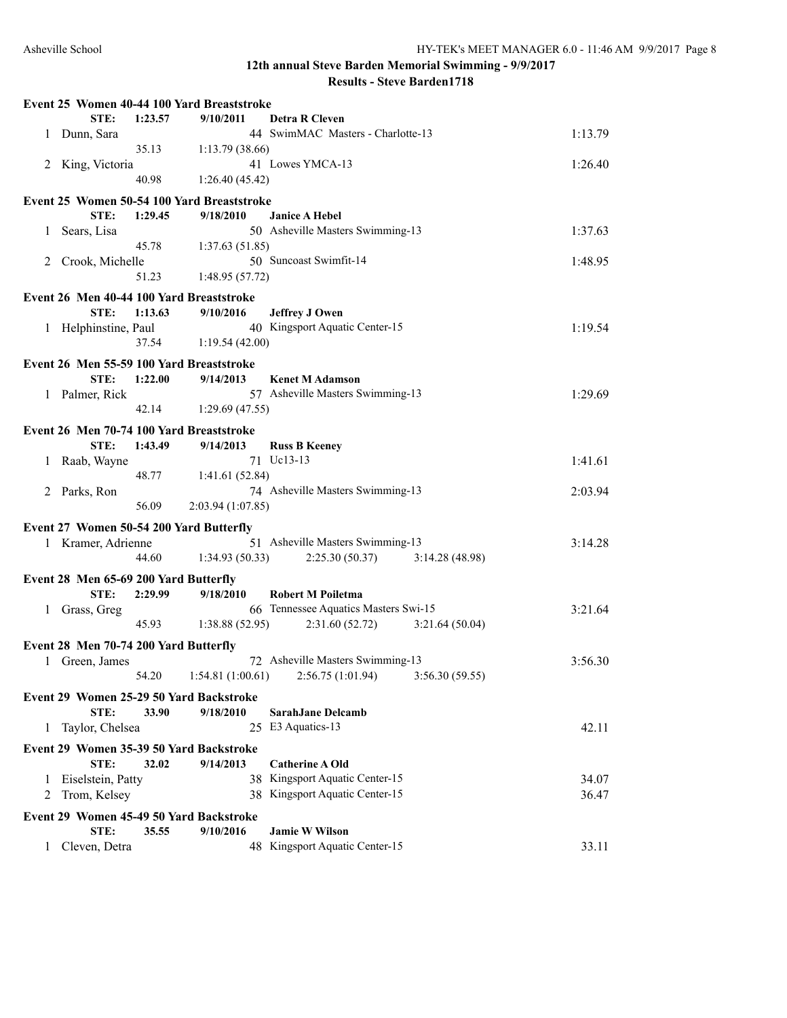|   |                                          |         | Event 25 Women 40-44 100 Yard Breaststroke |                                                                 |         |
|---|------------------------------------------|---------|--------------------------------------------|-----------------------------------------------------------------|---------|
|   | STE:                                     | 1:23.57 | 9/10/2011                                  | <b>Detra R Cleven</b>                                           |         |
|   | 1 Dunn, Sara                             |         |                                            | 44 SwimMAC Masters - Charlotte-13                               | 1:13.79 |
|   |                                          | 35.13   | 1:13.79(38.66)                             |                                                                 |         |
|   | 2 King, Victoria                         |         |                                            | 41 Lowes YMCA-13                                                | 1:26.40 |
|   |                                          | 40.98   | 1:26.40(45.42)                             |                                                                 |         |
|   |                                          |         | Event 25 Women 50-54 100 Yard Breaststroke |                                                                 |         |
|   | STE:                                     | 1:29.45 | 9/18/2010                                  | <b>Janice A Hebel</b>                                           |         |
| 1 | Sears, Lisa                              |         |                                            | 50 Asheville Masters Swimming-13                                | 1:37.63 |
|   |                                          | 45.78   | 1:37.63(51.85)                             |                                                                 |         |
|   | 2 Crook, Michelle                        |         |                                            | 50 Suncoast Swimfit-14                                          | 1:48.95 |
|   |                                          | 51.23   | 1:48.95(57.72)                             |                                                                 |         |
|   |                                          |         |                                            |                                                                 |         |
|   | Event 26 Men 40-44 100 Yard Breaststroke |         |                                            |                                                                 |         |
|   | STE:                                     | 1:13.63 | 9/10/2016                                  | <b>Jeffrey J Owen</b>                                           |         |
|   | 1 Helphinstine, Paul                     |         |                                            | 40 Kingsport Aquatic Center-15                                  | 1:19.54 |
|   |                                          | 37.54   | 1:19.54(42.00)                             |                                                                 |         |
|   | Event 26 Men 55-59 100 Yard Breaststroke |         |                                            |                                                                 |         |
|   | STE:                                     | 1:22.00 | 9/14/2013                                  | <b>Kenet M Adamson</b>                                          |         |
|   | 1 Palmer, Rick                           |         |                                            | 57 Asheville Masters Swimming-13                                | 1:29.69 |
|   |                                          | 42.14   | 1:29.69(47.55)                             |                                                                 |         |
|   | Event 26 Men 70-74 100 Yard Breaststroke |         |                                            |                                                                 |         |
|   | STE:                                     | 1:43.49 | 9/14/2013                                  | <b>Russ B Keeney</b>                                            |         |
|   | 1 Raab, Wayne                            |         |                                            | 71 Uc13-13                                                      | 1:41.61 |
|   |                                          | 48.77   | 1:41.61(52.84)                             |                                                                 |         |
|   | 2 Parks, Ron                             |         |                                            | 74 Asheville Masters Swimming-13                                | 2:03.94 |
|   |                                          | 56.09   | 2:03.94 (1:07.85)                          |                                                                 |         |
|   |                                          |         |                                            |                                                                 |         |
|   | Event 27 Women 50-54 200 Yard Butterfly  |         |                                            |                                                                 |         |
|   | 1 Kramer, Adrienne                       |         |                                            | 51 Asheville Masters Swimming-13                                | 3:14.28 |
|   |                                          | 44.60   | 1:34.93(50.33)                             | 2:25.30(50.37)<br>3:14.28(48.98)                                |         |
|   | Event 28 Men 65-69 200 Yard Butterfly    |         |                                            |                                                                 |         |
|   | STE:                                     | 2:29.99 | 9/18/2010                                  | <b>Robert M Poiletma</b>                                        |         |
|   | 1 Grass, Greg                            |         |                                            | 66 Tennessee Aquatics Masters Swi-15                            | 3:21.64 |
|   |                                          | 45.93   | 1:38.88 (52.95)                            | 2:31.60(52.72)<br>3:21.64(50.04)                                |         |
|   | Event 28 Men 70-74 200 Yard Butterfly    |         |                                            |                                                                 |         |
|   | 1 Green, James                           |         |                                            | 72 Asheville Masters Swimming-13                                | 3:56.30 |
|   |                                          |         |                                            | 54.20   1:54.81 (1:00.61)   2:56.75 (1:01.94)   3:56.30 (59.55) |         |
|   |                                          |         |                                            |                                                                 |         |
|   |                                          |         | Event 29 Women 25-29 50 Yard Backstroke    |                                                                 |         |
|   | STE:                                     | 33.90   | 9/18/2010                                  | <b>SarahJane Delcamb</b>                                        |         |
| 1 | Taylor, Chelsea                          |         |                                            | 25 E3 Aquatics-13                                               | 42.11   |
|   |                                          |         | Event 29 Women 35-39 50 Yard Backstroke    |                                                                 |         |
|   | STE:                                     | 32.02   | 9/14/2013                                  | <b>Catherine A Old</b>                                          |         |
| 1 | Eiselstein, Patty                        |         |                                            | 38 Kingsport Aquatic Center-15                                  | 34.07   |
| 2 | Trom, Kelsey                             |         |                                            | 38 Kingsport Aquatic Center-15                                  | 36.47   |
|   |                                          |         |                                            |                                                                 |         |
|   |                                          |         | Event 29 Women 45-49 50 Yard Backstroke    |                                                                 |         |
|   | STE:                                     | 35.55   | 9/10/2016                                  | <b>Jamie W Wilson</b><br>48 Kingsport Aquatic Center-15         | 33.11   |
| 1 | Cleven, Detra                            |         |                                            |                                                                 |         |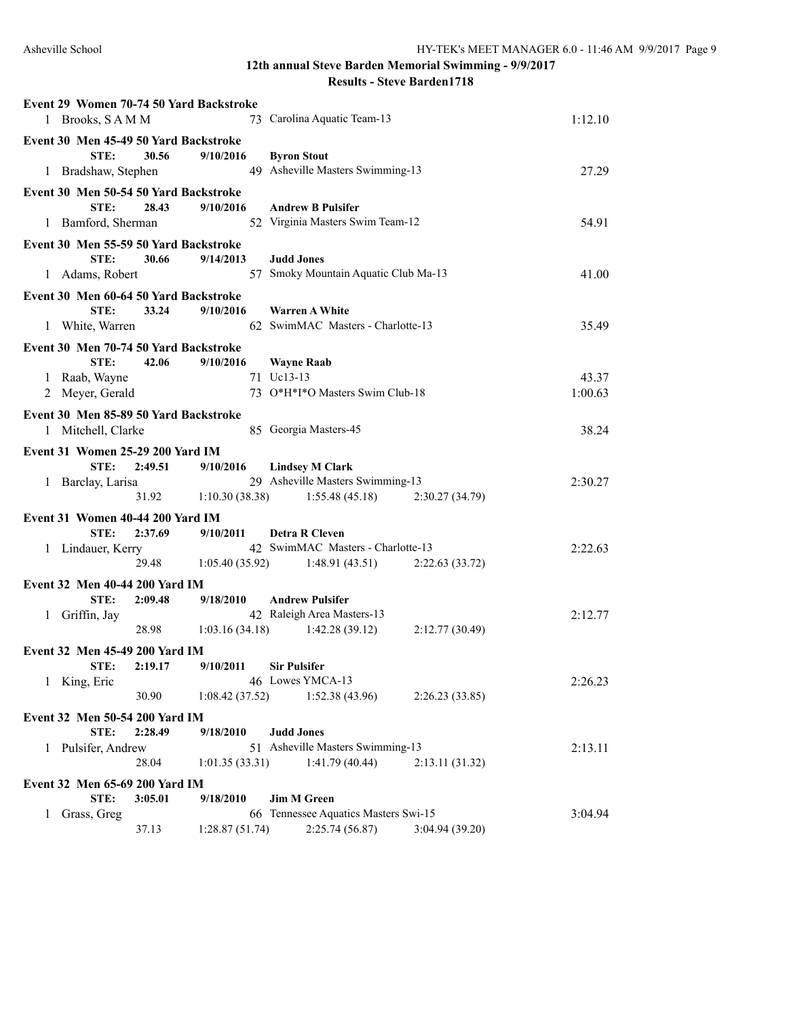|                                         | 1 Brooks, SAMM      |         | Event 29 Women 70-74 50 Yard Backstroke |    | 73 Carolina Aquatic Team-13                                              | 1:12.10 |
|-----------------------------------------|---------------------|---------|-----------------------------------------|----|--------------------------------------------------------------------------|---------|
| Event 30 Men 45-49 50 Yard Backstroke   | STE:                | 30.56   | 9/10/2016                               |    | <b>Byron Stout</b><br>49 Asheville Masters Swimming-13                   |         |
|                                         | 1 Bradshaw, Stephen |         |                                         |    |                                                                          | 27.29   |
| Event 30 Men 50-54 50 Yard Backstroke   | STE:                | 28.43   | 9/10/2016                               |    | <b>Andrew B Pulsifer</b>                                                 |         |
|                                         | 1 Bamford, Sherman  |         |                                         |    | 52 Virginia Masters Swim Team-12                                         | 54.91   |
| Event 30 Men 55-59 50 Yard Backstroke   |                     |         |                                         |    |                                                                          |         |
|                                         | STE:                | 30.66   | 9/14/2013                               |    | <b>Judd Jones</b>                                                        |         |
|                                         | 1 Adams, Robert     |         |                                         | 57 | Smoky Mountain Aquatic Club Ma-13                                        | 41.00   |
| Event 30 Men 60-64 50 Yard Backstroke   |                     |         |                                         |    |                                                                          |         |
|                                         | STE:                | 33.24   | 9/10/2016                               |    | <b>Warren A White</b>                                                    |         |
|                                         | 1 White, Warren     |         |                                         |    | 62 SwimMAC Masters - Charlotte-13                                        | 35.49   |
| Event 30 Men 70-74 50 Yard Backstroke   |                     |         |                                         |    |                                                                          |         |
|                                         | STE:                | 42.06   | 9/10/2016                               |    | <b>Wayne Raab</b>                                                        |         |
|                                         | 1 Raab, Wayne       |         |                                         |    | 71 Uc13-13                                                               | 43.37   |
|                                         | 2 Meyer, Gerald     |         |                                         |    | 73 O*H*I*O Masters Swim Club-18                                          | 1:00.63 |
| Event 30 Men 85-89 50 Yard Backstroke   |                     |         |                                         |    |                                                                          |         |
|                                         | 1 Mitchell, Clarke  |         |                                         |    | 85 Georgia Masters-45                                                    | 38.24   |
| <b>Event 31 Women 25-29 200 Yard IM</b> |                     |         |                                         |    |                                                                          |         |
|                                         | STE:                | 2:49.51 | 9/10/2016                               |    | <b>Lindsey M Clark</b>                                                   |         |
|                                         | 1 Barclay, Larisa   |         |                                         |    | 29 Asheville Masters Swimming-13                                         | 2:30.27 |
|                                         |                     |         |                                         |    | $31.92$ 1:10.30 (38.38) 1:55.48 (45.18)<br>2:30.27(34.79)                |         |
| Event 31 Women 40-44 200 Yard IM        |                     |         |                                         |    |                                                                          |         |
|                                         | STE:                | 2:37.69 | 9/10/2011                               |    | <b>Detra R Cleven</b>                                                    |         |
|                                         | 1 Lindauer, Kerry   |         |                                         |    | 42 SwimMAC Masters - Charlotte-13                                        | 2:22.63 |
|                                         |                     |         |                                         |    | 29.48 1:05.40 (35.92) 1:48.91 (43.51)<br>2:22.63 (33.72)                 |         |
| Event 32 Men 40-44 200 Yard IM          |                     |         |                                         |    |                                                                          |         |
| 1 Griffin, Jay                          | STE:                | 2:09.48 | 9/18/2010                               |    | <b>Andrew Pulsifer</b><br>42 Raleigh Area Masters-13                     | 2:12.77 |
|                                         |                     |         |                                         |    | 28.98 1:03.16 (34.18) 1:42.28 (39.12)<br>2:12.77(30.49)                  |         |
|                                         |                     |         |                                         |    |                                                                          |         |
| Event 32 Men 45-49 200 Yard IM          | STE:                | 2:19.17 | 9/10/2011                               |    | <b>Sir Pulsifer</b>                                                      |         |
| 1                                       | King, Eric          |         |                                         |    | 46 Lowes YMCA-13                                                         | 2:26.23 |
|                                         |                     | 30.90   | 1:08.42(37.52)                          |    | 1:52.38(43.96)<br>2:26.23(33.85)                                         |         |
| Event 32 Men 50-54 200 Yard IM          |                     |         |                                         |    |                                                                          |         |
|                                         | STE:                | 2:28.49 | 9/18/2010                               |    | <b>Judd Jones</b>                                                        |         |
|                                         | 1 Pulsifer, Andrew  |         |                                         |    | 51 Asheville Masters Swimming-13                                         | 2:13.11 |
|                                         |                     | 28.04   | 1:01.35(33.31)                          |    | 1:41.79(40.44)<br>2:13.11(31.32)                                         |         |
| Event 32 Men 65-69 200 Yard IM          |                     |         |                                         |    |                                                                          |         |
|                                         | STE:                | 3:05.01 | 9/18/2010                               |    | <b>Jim M Green</b>                                                       |         |
|                                         |                     |         |                                         |    |                                                                          |         |
| 1                                       | Grass, Greg         | 37.13   | 1:28.87(51.74)                          |    | 66 Tennessee Aquatics Masters Swi-15<br>2:25.74(56.87)<br>3:04.94(39.20) | 3:04.94 |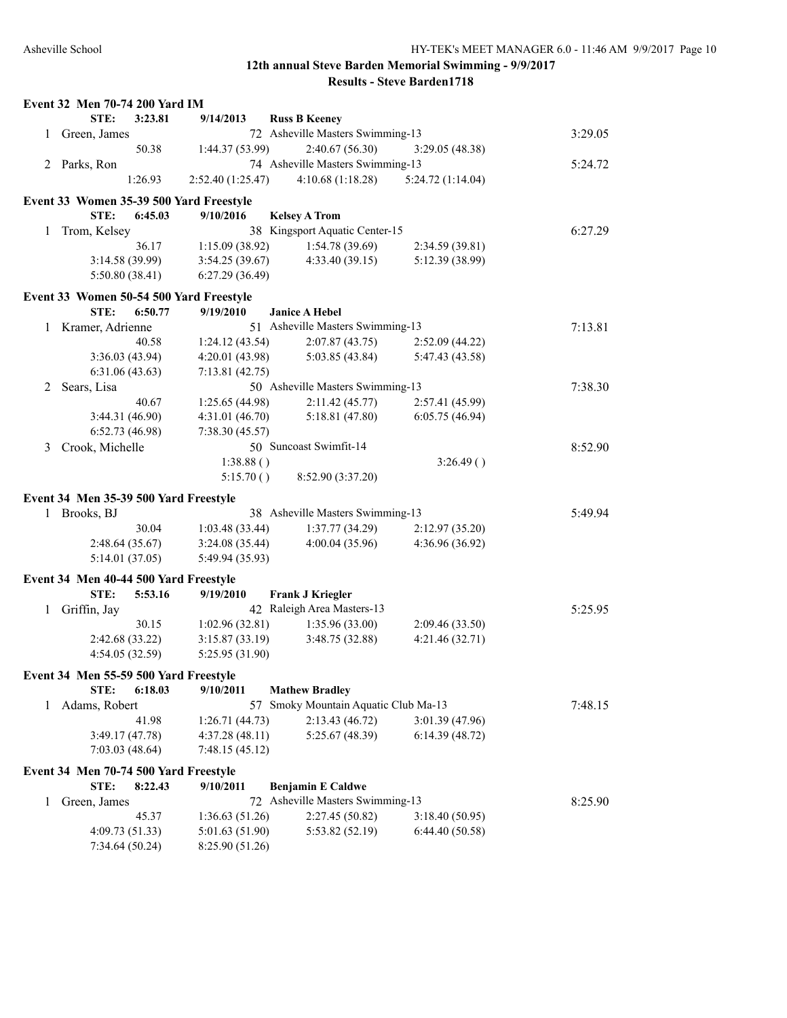|   | Event 32 Men 70-74 200 Yard IM          |                   |                                   |                  |         |
|---|-----------------------------------------|-------------------|-----------------------------------|------------------|---------|
|   | STE:<br>3:23.81                         | 9/14/2013         | <b>Russ B Keeney</b>              |                  |         |
| 1 | Green, James                            |                   | 72 Asheville Masters Swimming-13  |                  | 3:29.05 |
|   | 50.38                                   | 1:44.37 (53.99)   | 2:40.67(56.30)                    | 3:29.05(48.38)   |         |
|   | 2 Parks, Ron                            |                   | 74 Asheville Masters Swimming-13  |                  | 5:24.72 |
|   | 1:26.93                                 | 2:52.40 (1:25.47) | 4:10.68(1:18.28)                  | 5:24.72(1:14.04) |         |
|   | Event 33 Women 35-39 500 Yard Freestyle |                   |                                   |                  |         |
|   | STE:<br>6:45.03                         | 9/10/2016         | <b>Kelsey A Trom</b>              |                  |         |
| 1 | Trom, Kelsey                            |                   | 38 Kingsport Aquatic Center-15    |                  | 6:27.29 |
|   | 36.17                                   | 1:15.09(38.92)    | 1:54.78(39.69)                    | 2:34.59(39.81)   |         |
|   | 3:14.58 (39.99)                         | 3:54.25(39.67)    | 4:33.40(39.15)                    | 5:12.39 (38.99)  |         |
|   | 5:50.80(38.41)                          | 6:27.29(36.49)    |                                   |                  |         |
|   | Event 33 Women 50-54 500 Yard Freestyle |                   |                                   |                  |         |
|   | STE:<br>6:50.77                         | 9/19/2010         | <b>Janice A Hebel</b>             |                  |         |
| 1 | Kramer, Adrienne                        |                   | 51 Asheville Masters Swimming-13  |                  | 7:13.81 |
|   | 40.58                                   | 1:24.12(43.54)    | 2:07.87(43.75)                    | 2:52.09 (44.22)  |         |
|   | 3:36.03(43.94)                          | 4:20.01 (43.98)   | 5:03.85(43.84)                    | 5:47.43 (43.58)  |         |
|   | 6:31.06(43.63)                          | 7:13.81(42.75)    |                                   |                  |         |
| 2 | Sears, Lisa                             |                   | 50 Asheville Masters Swimming-13  |                  | 7:38.30 |
|   | 40.67                                   | 1:25.65(44.98)    | 2:11.42(45.77)                    | 2:57.41 (45.99)  |         |
|   | 3:44.31(46.90)                          | 4:31.01(46.70)    | 5:18.81(47.80)                    | 6:05.75(46.94)   |         |
|   | 6:52.73(46.98)                          | 7:38.30(45.57)    |                                   |                  |         |
| 3 | Crook, Michelle                         |                   | 50 Suncoast Swimfit-14            |                  | 8:52.90 |
|   |                                         | 1:38.88()         |                                   | 3:26.49()        |         |
|   |                                         | 5:15.70()         | 8:52.90 (3:37.20)                 |                  |         |
|   | Event 34 Men 35-39 500 Yard Freestyle   |                   |                                   |                  |         |
|   | 1 Brooks, BJ                            |                   | 38 Asheville Masters Swimming-13  |                  | 5:49.94 |
|   | 30.04                                   | 1:03.48(33.44)    | 1:37.77(34.29)                    | 2:12.97(35.20)   |         |
|   | 2:48.64(35.67)                          | 3:24.08(35.44)    | 4:00.04 (35.96)                   | 4:36.96 (36.92)  |         |
|   | 5:14.01(37.05)                          | 5:49.94 (35.93)   |                                   |                  |         |
|   | Event 34 Men 40-44 500 Yard Freestyle   |                   |                                   |                  |         |
|   | STE:<br>5:53.16                         | 9/19/2010         | <b>Frank J Kriegler</b>           |                  |         |
| 1 | Griffin, Jay                            |                   | 42 Raleigh Area Masters-13        |                  | 5:25.95 |
|   | 30.15                                   | 1:02.96(32.81)    | 1:35.96 (33.00)                   | 2:09.46 (33.50)  |         |
|   | 2:42.68 (33.22)                         | 3:15.87(33.19)    | 3:48.75 (32.88)                   | 4:21.46(32.71)   |         |
|   | 4:54.05 (32.59)                         | 5:25.95 (31.90)   |                                   |                  |         |
|   | Event 34 Men 55-59 500 Yard Freestyle   |                   |                                   |                  |         |
|   | STE:<br>6:18.03                         | 9/10/2011         | <b>Mathew Bradley</b>             |                  |         |
| 1 | Adams, Robert                           | 57                | Smoky Mountain Aquatic Club Ma-13 |                  | 7:48.15 |
|   | 41.98                                   | 1:26.71(44.73)    | 2:13.43 (46.72)                   | 3:01.39 (47.96)  |         |
|   | 3:49.17(47.78)                          | 4:37.28(48.11)    | 5:25.67 (48.39)                   | 6:14.39(48.72)   |         |
|   | 7:03.03(48.64)                          | 7:48.15(45.12)    |                                   |                  |         |
|   | Event 34 Men 70-74 500 Yard Freestyle   |                   |                                   |                  |         |
|   | STE:<br>8:22.43                         | 9/10/2011         | <b>Benjamin E Caldwe</b>          |                  |         |
| 1 | Green, James                            | 72                | Asheville Masters Swimming-13     |                  | 8:25.90 |
|   | 45.37                                   | 1:36.63(51.26)    | 2:27.45 (50.82)                   | 3:18.40(50.95)   |         |
|   | 4:09.73 (51.33)                         | 5:01.63 (51.90)   | 5:53.82 (52.19)                   | 6:44.40(50.58)   |         |
|   | 7:34.64 (50.24)                         | 8:25.90 (51.26)   |                                   |                  |         |
|   |                                         |                   |                                   |                  |         |